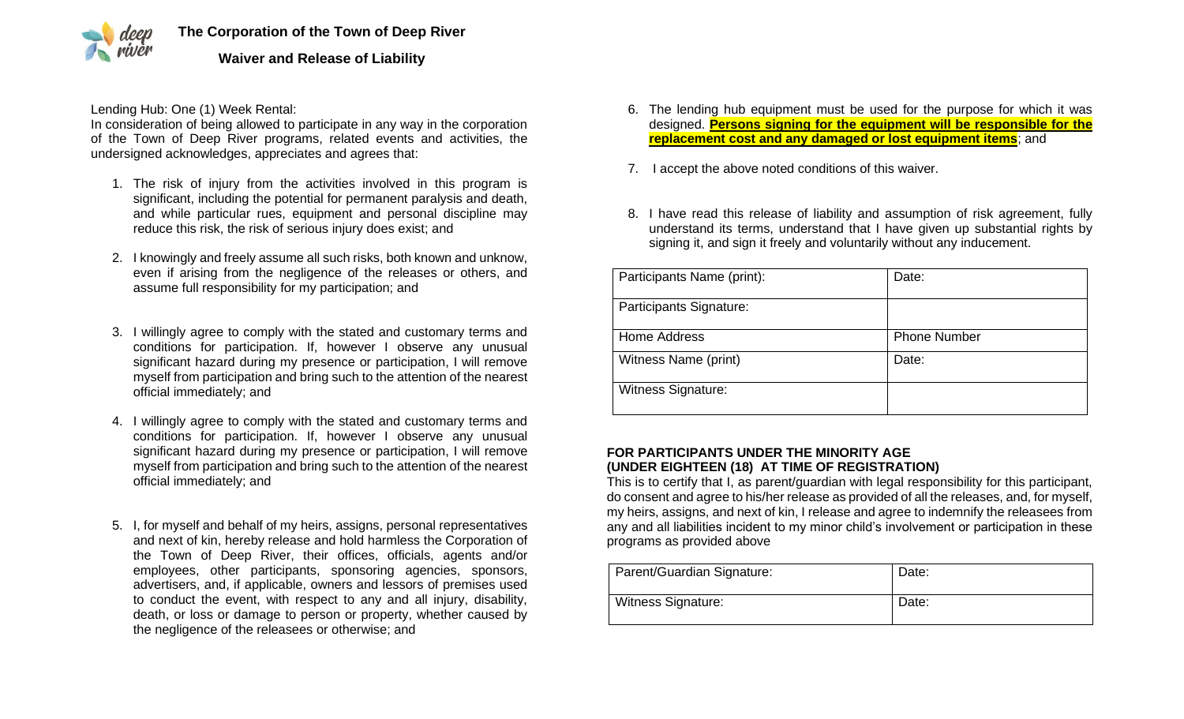

Lending Hub: One (1) Week Rental:

In consideration of being allowed to participate in any way in the corporation of the Town of Deep River programs, related events and activities, the undersigned acknowledges, appreciates and agrees that:

- 1. The risk of injury from the activities involved in this program is significant, including the potential for permanent paralysis and death, and while particular rues, equipment and personal discipline may reduce this risk, the risk of serious injury does exist; and
- 2. I knowingly and freely assume all such risks, both known and unknow, even if arising from the negligence of the releases or others, and assume full responsibility for my participation; and
- 3. I willingly agree to comply with the stated and customary terms and conditions for participation. If, however I observe any unusual significant hazard during my presence or participation, I will remove myself from participation and bring such to the attention of the nearest official immediately; and
- 4. I willingly agree to comply with the stated and customary terms and conditions for participation. If, however I observe any unusual significant hazard during my presence or participation, I will remove myself from participation and bring such to the attention of the nearest official immediately; and
- 5. I, for myself and behalf of my heirs, assigns, personal representatives and next of kin, hereby release and hold harmless the Corporation of the Town of Deep River, their offices, officials, agents and/or employees, other participants, sponsoring agencies, sponsors, advertisers, and, if applicable, owners and lessors of premises used to conduct the event, with respect to any and all injury, disability, death, or loss or damage to person or property, whether caused by the negligence of the releasees or otherwise; and
- 6. The lending hub equipment must be used for the purpose for which it was designed. **Persons signing for the equipment will be responsible for the replacement cost and any damaged or lost equipment items**; and
- 7. I accept the above noted conditions of this waiver.
- 8. I have read this release of liability and assumption of risk agreement, fully understand its terms, understand that I have given up substantial rights by signing it, and sign it freely and voluntarily without any inducement.

| Participants Name (print): | Date:               |
|----------------------------|---------------------|
| Participants Signature:    |                     |
| Home Address               | <b>Phone Number</b> |
| Witness Name (print)       | Date:               |
| <b>Witness Signature:</b>  |                     |

## **FOR PARTICIPANTS UNDER THE MINORITY AGE (UNDER EIGHTEEN (18) AT TIME OF REGISTRATION)**

This is to certify that I, as parent/guardian with legal responsibility for this participant, do consent and agree to his/her release as provided of all the releases, and, for myself, my heirs, assigns, and next of kin, I release and agree to indemnify the releasees from any and all liabilities incident to my minor child's involvement or participation in these programs as provided above

| Parent/Guardian Signature: | Date: |
|----------------------------|-------|
| <b>Witness Signature:</b>  | Date: |